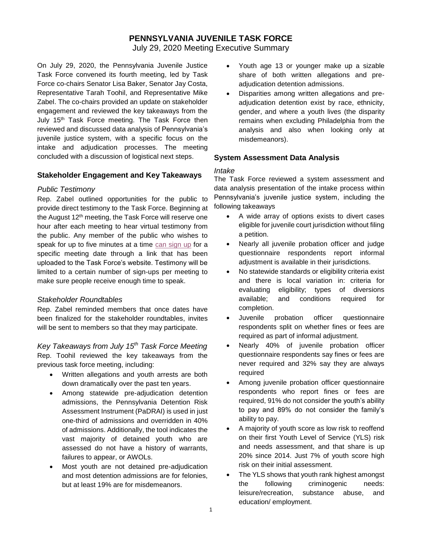# **PENNSYLVANIA JUVENILE TASK FORCE**

July 29, 2020 Meeting Executive Summary

On July 29, 2020, the Pennsylvania Juvenile Justice Task Force convened its fourth meeting, led by Task Force co-chairs Senator Lisa Baker, Senator Jay Costa, Representative Tarah Toohil, and Representative Mike Zabel. The co-chairs provided an update on stakeholder engagement and reviewed the key takeaways from the July 15<sup>th</sup> Task Force meeting. The Task Force then reviewed and discussed data analysis of Pennsylvania's juvenile justice system, with a specific focus on the intake and adjudication processes. The meeting concluded with a discussion of logistical next steps.

### **Stakeholder Engagement and Key Takeaways**

### *Public Testimony*

Rep. Zabel outlined opportunities for the public to provide direct testimony to the Task Force. Beginning at the August 12<sup>th</sup> meeting, the Task Force will reserve one hour after each meeting to hear virtual testimony from the public. Any member of the public who wishes to speak for up to five minutes at a time [can sign up](https://surveys.az1.qualtrics.com/jfe/form/SV_6r2DP3xhZym8oE5) for a specific meeting date through a link that has been uploaded to the Task Force's website. Testimony will be limited to a certain number of sign-ups per meeting to make sure people receive enough time to speak.

### *Stakeholder Roundtables*

Rep. Zabel reminded members that once dates have been finalized for the stakeholder roundtables, invites will be sent to members so that they may participate.

*Key Takeaways from July 15th Task Force Meeting* Rep. Toohil reviewed the key takeaways from the previous task force meeting, including:

- Written allegations and youth arrests are both down dramatically over the past ten years.
- Among statewide pre-adjudication detention admissions, the Pennsylvania Detention Risk Assessment Instrument (PaDRAI) is used in just one-third of admissions and overridden in 40% of admissions. Additionally, the tool indicates the vast majority of detained youth who are assessed do not have a history of warrants, failures to appear, or AWOLs.
- Most youth are not detained pre-adjudication and most detention admissions are for felonies, but at least 19% are for misdemeanors.
- Youth age 13 or younger make up a sizable share of both written allegations and preadjudication detention admissions.
- Disparities among written allegations and preadjudication detention exist by race, ethnicity, gender, and where a youth lives (the disparity remains when excluding Philadelphia from the analysis and also when looking only at misdemeanors).

### **System Assessment Data Analysis**

#### *Intake*

The Task Force reviewed a system assessment and data analysis presentation of the intake process within Pennsylvania's juvenile justice system, including the following takeaways

- A wide array of options exists to divert cases eligible for juvenile court jurisdiction without filing a petition.
- Nearly all juvenile probation officer and judge questionnaire respondents report informal adjustment is available in their jurisdictions.
- No statewide standards or eligibility criteria exist and there is local variation in: criteria for evaluating eligibility; types of diversions available; and conditions required for completion.
- Juvenile probation officer questionnaire respondents split on whether fines or fees are required as part of informal adjustment.
- Nearly 40% of juvenile probation officer questionnaire respondents say fines or fees are never required and 32% say they are always required
- Among juvenile probation officer questionnaire respondents who report fines or fees are required, 91% do not consider the youth's ability to pay and 89% do not consider the family's ability to pay.
- A majority of youth score as low risk to reoffend on their first Youth Level of Service (YLS) risk and needs assessment, and that share is up 20% since 2014. Just 7% of youth score high risk on their initial assessment.
- The YLS shows that youth rank highest amongst the following criminogenic needs: leisure/recreation, substance abuse, and education/ employment.